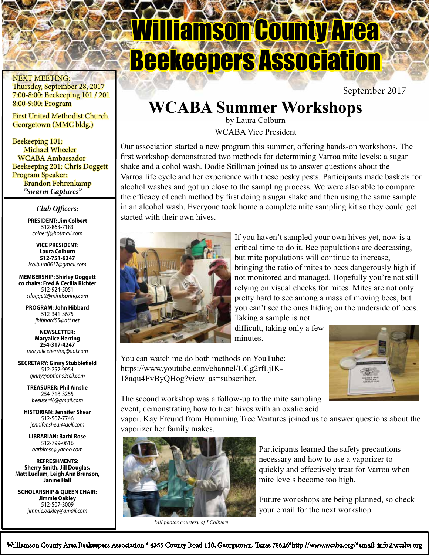Williamson County Area Beekeepers Association

September 2017

# **WCABA Summer Workshops**

by Laura Colburn WCABA Vice President

Our association started a new program this summer, offering hands-on workshops. The first workshop demonstrated two methods for determining Varroa mite levels: a sugar shake and alcohol wash. Dodie Stillman joined us to answer questions about the Varroa life cycle and her experience with these pesky pests. Participants made baskets for alcohol washes and got up close to the sampling process. We were also able to compare the efficacy of each method by first doing a sugar shake and then using the same sample in an alcohol wash. Everyone took home a complete mite sampling kit so they could get started with their own hives.

> If you haven't sampled your own hives yet, now is a critical time to do it. Bee populations are decreasing, but mite populations will continue to increase, bringing the ratio of mites to bees dangerously high if not monitored and managed. Hopefully you're not still relying on visual checks for mites. Mites are not only pretty hard to see among a mass of moving bees, but you can't see the ones hiding on the underside of bees.

You can watch me do both methods on YouTube: https://www.youtube.com/channel/UCg2rfLjIK-18aqu4FvByQHog?view\_as=subscriber.

Taking a sample is not difficult, taking only a few minutes.

The second workshop was a follow-up to the mite sampling event, demonstrating how to treat hives with an oxalic acid

vapor. Kay Freund from Humming Tree Ventures joined us to answer questions about the vaporizer her family makes.

> Participants learned the safety precautions necessary and how to use a vaporizer to quickly and effectively treat for Varroa when mite levels become too high.

Future workshops are being planned, so check your email for the next workshop.

*\*all photos courtesy of LColburn*



 First United Methodist Church Georgetown (MMC bldg.)

 Beekeeping 101: Michael Wheeler WCABA Ambassador Beekeeping 201: Chris Doggett Program Speaker: Brandon Fehrenkamp *"Swarm Captures"*

### *Club Officers:*

**PRESIDENT: Jim Colbert** 512-863-7183 *colbertj@hotmail.com*

**VICE PRESIDENT: Laura Colburn 512-751-6347** *lcolburn0617@gmail.com*

**MEMBERSHIP: Shirley Doggett co chairs: Fred & Cecilia Richter** 512-924-5051 *sdoggett@mindspring.com*

**PROGRAM: John Hibbard** 512-341-3675 *jhibbard55@att.net*

**NEWSLETTER: Maryalice Herring 254-317-4247** *maryaliceherring@aol.com*

**SECRETARY: Ginny Stubblefield** 512-252-9954 *ginny@options2sell.com*

> **TREASURER: Phil Ainslie** 254-718-3255

**HISTORIAN: Jennifer Shear** 512-507-7746 *jennifer.shear@dell.com*

**LIBRARIAN: Barbi Rose** 512-799-0616 *barbirose@yahoo.com*

**REFRESHMENTS: Sherry Smith, Jill Douglas, Matt Ludlum, Leigh Ann Brunson, Janine Hall**

**SCHOLARSHIP & QUEEN CHAIR: Jimmie Oakley** 512-507-3009 *jimmie.oakley@gmail.com*

*beeuser46@gmail.com*

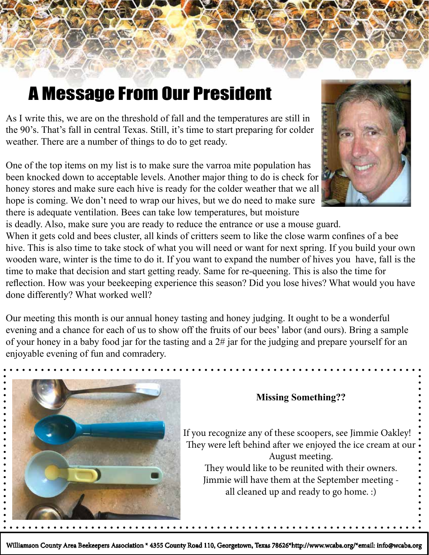# A Message From Our President

As I write this, we are on the threshold of fall and the temperatures are still in the 90's. That's fall in central Texas. Still, it's time to start preparing for colder weather. There are a number of things to do to get ready.

One of the top items on my list is to make sure the varroa mite population has been knocked down to acceptable levels. Another major thing to do is check for honey stores and make sure each hive is ready for the colder weather that we all hope is coming. We don't need to wrap our hives, but we do need to make sure there is adequate ventilation. Bees can take low temperatures, but moisture



is deadly. Also, make sure you are ready to reduce the entrance or use a mouse guard.

When it gets cold and bees cluster, all kinds of critters seem to like the close warm confines of a bee hive. This is also time to take stock of what you will need or want for next spring. If you build your own wooden ware, winter is the time to do it. If you want to expand the number of hives you have, fall is the time to make that decision and start getting ready. Same for re-queening. This is also the time for reflection. How was your beekeeping experience this season? Did you lose hives? What would you have done differently? What worked well?

Our meeting this month is our annual honey tasting and honey judging. It ought to be a wonderful evening and a chance for each of us to show off the fruits of our bees' labor (and ours). Bring a sample of your honey in a baby food jar for the tasting and a 2# jar for the judging and prepare yourself for an enjoyable evening of fun and comradery.



### **Missing Something??**

If you recognize any of these scoopers, see Jimmie Oakley! They were left behind after we enjoyed the ice cream at our August meeting. They would like to be reunited with their owners.

Jimmie will have them at the September meeting all cleaned up and ready to go home. :)

Williamson County Area Beekeepers Association \* 4355 County Road 110, Georgetown, Texas 78626\*http://www.wcaba.org/\*email: info@wcaba.org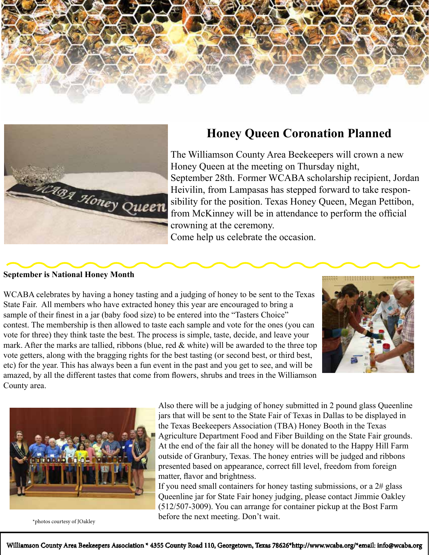



## **Honey Queen Coronation Planned**

The Williamson County Area Beekeepers will crown a new Honey Queen at the meeting on Thursday night, September 28th. Former WCABA scholarship recipient, Jordan Heivilin, from Lampasas has stepped forward to take responsibility for the position. Texas Honey Queen, Megan Pettibon, from McKinney will be in attendance to perform the official crowning at the ceremony.

Come help us celebrate the occasion.

#### **September is National Honey Month**

WCABA celebrates by having a honey tasting and a judging of honey to be sent to the Texas State Fair. All members who have extracted honey this year are encouraged to bring a sample of their finest in a jar (baby food size) to be entered into the "Tasters Choice" contest. The membership is then allowed to taste each sample and vote for the ones (you can vote for three) they think taste the best. The process is simple, taste, decide, and leave your mark. After the marks are tallied, ribbons (blue, red  $\&$  white) will be awarded to the three top vote getters, along with the bragging rights for the best tasting (or second best, or third best, etc) for the year. This has always been a fun event in the past and you get to see, and will be amazed, by all the different tastes that come from flowers, shrubs and trees in the Williamson County area.





Also there will be a judging of honey submitted in 2 pound glass Queenline jars that will be sent to the State Fair of Texas in Dallas to be displayed in the Texas Beekeepers Association (TBA) Honey Booth in the Texas Agriculture Department Food and Fiber Building on the State Fair grounds. At the end of the fair all the honey will be donated to the Happy Hill Farm outside of Granbury, Texas. The honey entries will be judged and ribbons presented based on appearance, correct fill level, freedom from foreign matter, flavor and brightness.

If you need small containers for honey tasting submissions, or a 2# glass Queenline jar for State Fair honey judging, please contact Jimmie Oakley (512/507-3009). You can arrange for container pickup at the Bost Farm \*photos courtesy of JOakley<br> **before the next meeting. Don't wait.**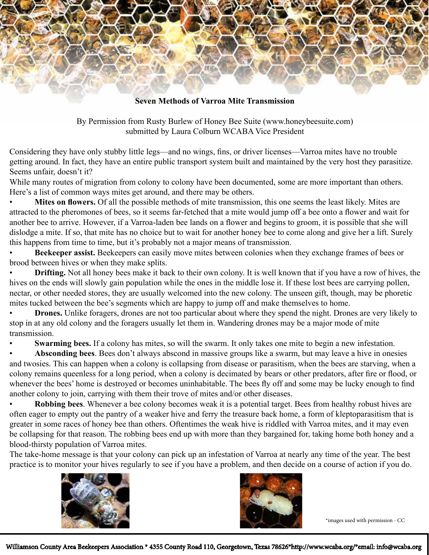

By Permission from Rusty Burlew of Honey Bee Suite (www.honeybeesuite.com) submitted by Laura Colburn WCABA Vice President

Considering they have only stubby little legs—and no wings, fins, or driver licenses—Varroa mites have no trouble getting around. In fact, they have an entire public transport system built and maintained by the very host they parasitize. Seems unfair, doesn't it?

While many routes of migration from colony to colony have been documented, some are more important than others. Here's a list of common ways mites get around, and there may be others.

• **Mites on flowers.** Of all the possible methods of mite transmission, this one seems the least likely. Mites are attracted to the pheromones of bees, so it seems far-fetched that a mite would jump off a bee onto a flower and wait for another bee to arrive. However, if a Varroa-laden bee lands on a flower and begins to groom, it is possible that she will dislodge a mite. If so, that mite has no choice but to wait for another honey bee to come along and give her a lift. Surely this happens from time to time, but it's probably not a major means of transmission.

• **Beekeeper assist.** Beekeepers can easily move mites between colonies when they exchange frames of bees or brood between hives or when they make splits.

**Drifting.** Not all honey bees make it back to their own colony. It is well known that if you have a row of hives, the hives on the ends will slowly gain population while the ones in the middle lose it. If these lost bees are carrying pollen, nectar, or other needed stores, they are usually welcomed into the new colony. The unseen gift, though, may be phoretic mites tucked between the bee's segments which are happy to jump off and make themselves to home.

**Drones.** Unlike foragers, drones are not too particular about where they spend the night. Drones are very likely to stop in at any old colony and the foragers usually let them in. Wandering drones may be a major mode of mite transmission.

**Swarming bees.** If a colony has mites, so will the swarm. It only takes one mite to begin a new infestation.

• **Absconding bees**. Bees don't always abscond in massive groups like a swarm, but may leave a hive in onesies and twosies. This can happen when a colony is collapsing from disease or parasitism, when the bees are starving, when a colony remains queenless for a long period, when a colony is decimated by bears or other predators, after fire or flood, or whenever the bees' home is destroyed or becomes uninhabitable. The bees fly off and some may be lucky enough to find another colony to join, carrying with them their trove of mites and/or other diseases.

• **Robbing bees**. Whenever a bee colony becomes weak it is a potential target. Bees from healthy robust hives are often eager to empty out the pantry of a weaker hive and ferry the treasure back home, a form of kleptoparasitism that is greater in some races of honey bee than others. Oftentimes the weak hive is riddled with Varroa mites, and it may even be collapsing for that reason. The robbing bees end up with more than they bargained for, taking home both honey and a blood-thirsty population of Varroa mites.

The take-home message is that your colony can pick up an infestation of Varroa at nearly any time of the year. The best practice is to monitor your hives regularly to see if you have a problem, and then decide on a course of action if you do.





\*images used with permission - CC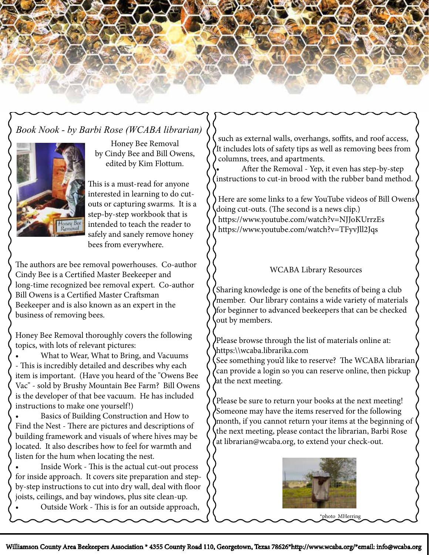

## *Book Nook - by Barbi Rose (WCABA librarian)*



Honey Bee Removal by Cindy Bee and Bill Owens, edited by Kim Flottum.

This is a must-read for anyone interested in learning to do cutouts or capturing swarms. It is a step-by-step workbook that is intended to teach the reader to safely and sanely remove honey bees from everywhere.

The authors are bee removal powerhouses. Co-author Cindy Bee is a Certified Master Beekeeper and long-time recognized bee removal expert. Co-author Bill Owens is a Certified Master Craftsman Beekeeper and is also known as an expert in the business of removing bees.

Honey Bee Removal thoroughly covers the following topics, with lots of relevant pictures:

• What to Wear, What to Bring, and Vacuums - This is incredibly detailed and describes why each item is important. (Have you heard of the "Owens Bee Vac" - sold by Brushy Mountain Bee Farm? Bill Owens is the developer of that bee vacuum. He has included instructions to make one yourself!)

Basics of Building Construction and How to Find the Nest - There are pictures and descriptions of building framework and visuals of where hives may be located. It also describes how to feel for warmth and listen for the hum when locating the nest.

Inside Work - This is the actual cut-out process for inside approach. It covers site preparation and stepby-step instructions to cut into dry wall, deal with floor joists, ceilings, and bay windows, plus site clean-up.

• Outside Work - This is for an outside approach,

 such as external walls, overhangs, soffits, and roof access, It includes lots of safety tips as well as removing bees from columns, trees, and apartments.

• After the Removal - Yep, it even has step-by-step instructions to cut-in brood with the rubber band method.

 Here are some links to a few YouTube videos of Bill Owens doing cut-outs. (The second is a news clip.) https://www.youtube.com/watch?v=NJJoKUrrzEs https://www.youtube.com/watch?v=TFyvJll2Jqs

### WCABA Library Resources

Sharing knowledge is one of the benefits of being a club member. Our library contains a wide variety of materials for beginner to advanced beekeepers that can be checked out by members.

Please browse through the list of materials online at: https:\\wcaba.librarika.com

See something you'd like to reserve? The WCABA librarian, can provide a login so you can reserve online, then pickup at the next meeting.

Please be sure to return your books at the next meeting! Someone may have the items reserved for the following month, if you cannot return your items at the beginning of the next meeting, please contact the librarian, Barbi Rose at librarian@wcaba.org, to extend your check-out.

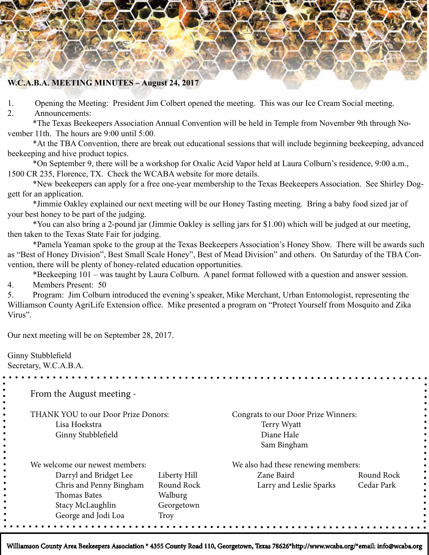

1. Opening the Meeting: President Jim Colbert opened the meeting. This was our Ice Cream Social meeting.

2. Announcements:

\*The Texas Beekeepers Association Annual Convention will be held in Temple from November 9th through November 11th. The hours are 9:00 until 5:00.

\*At the TBA Convention, there are break out educational sessions that will include beginning beekeeping, advanced beekeeping and hive product topics.

\*On September 9, there will be a workshop for Oxalic Acid Vapor held at Laura Colburn's residence, 9:00 a.m., 1500 CR 235, Florence, TX. Check the WCABA website for more details.

\*New beekeepers can apply for a free one-year membership to the Texas Beekeepers Association. See Shirley Doggett for an application.

\*Jimmie Oakley explained our next meeting will be our Honey Tasting meeting. Bring a baby food sized jar of your best honey to be part of the judging.

\*You can also bring a 2-pound jar (Jimmie Oakley is selling jars for \$1.00) which will be judged at our meeting, then taken to the Texas State Fair for judging.

\*Pamela Yeaman spoke to the group at the Texas Beekeepers Association's Honey Show. There will be awards such as "Best of Honey Division", Best Small Scale Honey", Best of Mead Division" and others. On Saturday of the TBA Convention, there will be plenty of honey-related education opportunities.

\*Beekeeping 101 – was taught by Laura Colburn. A panel format followed with a question and answer session. 4. Members Present: 50

5. Program: Jim Colburn introduced the evening's speaker, Mike Merchant, Urban Entomologist, representing the Williamson County AgriLife Extension office. Mike presented a program on "Protect Yourself from Mosquito and Zika Virus".

Our next meeting will be on September 28, 2017.

Ginny Stubblefield

Secretary, W.C.A.B.A.

From the August meeting -

THANK YOU to our Door Prize Donors: Congrats to our Door Prize Winners: Lisa Hoekstra Terry Wyatt Ginny Stubblefield Diane Hale

Sam Bingham

| We welcome our newest members: |                | We also had these renewing members: |            |  |  |  |  |  |
|--------------------------------|----------------|-------------------------------------|------------|--|--|--|--|--|
| Darryl and Bridget Lee         | Liberty Hill   | Zane Baird                          | Round Rock |  |  |  |  |  |
| Chris and Penny Bingham        | Round Rock     | Larry and Leslie Sparks             | Cedar Park |  |  |  |  |  |
| Thomas Bates                   | <b>Walburg</b> |                                     |            |  |  |  |  |  |
| Stacy McLaughlin               | Georgetown     |                                     |            |  |  |  |  |  |
| George and Jodi Loa            | Troy           |                                     |            |  |  |  |  |  |
|                                |                |                                     |            |  |  |  |  |  |

Williamson County Area Beekeepers Association \* 4355 County Road 110, Georgetown, Texas 78626\*http://www.wcaba.org/\*email: info@wcaba.org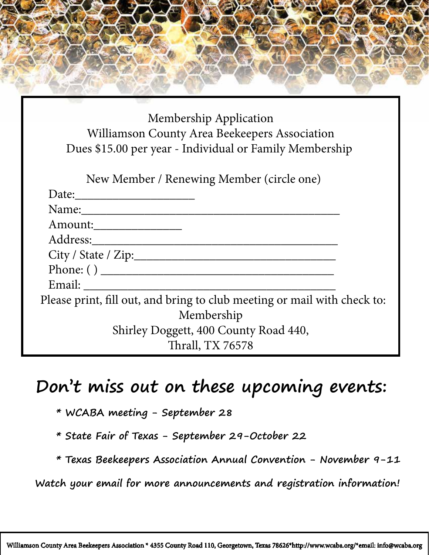Membership Application Williamson County Area Beekeepers Association Dues \$15.00 per year - Individual or Family Membership

| New Member / Renewing Member (circle one) |  |
|-------------------------------------------|--|
|-------------------------------------------|--|

| Date: $\qquad \qquad$                                                    |  |
|--------------------------------------------------------------------------|--|
| Name:                                                                    |  |
| Amount:                                                                  |  |
| Address:                                                                 |  |
|                                                                          |  |
| Phone: ()                                                                |  |
| Email:                                                                   |  |
| Please print, fill out, and bring to club meeting or mail with check to: |  |
| Membership                                                               |  |
| Shirley Doggett, 400 County Road 440,                                    |  |
| Thrall, TX 76578                                                         |  |

## **Don't miss out on these upcoming events:**

- **\* WCABA meeting September 28**
- **\* State Fair of Texas September 29-October 22**
- **\* Texas Beekeepers Association Annual Convention November 9-11**

 **Watch your email for more announcements and registration information!**